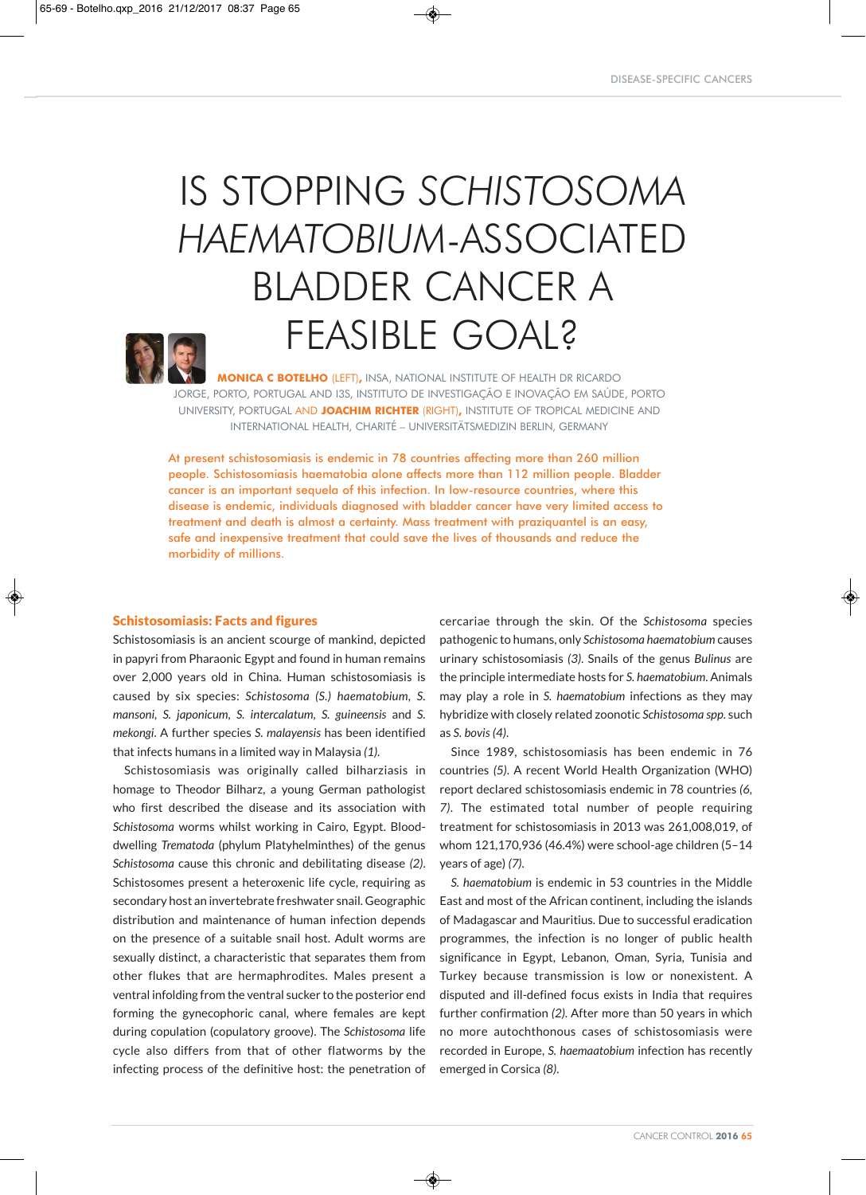# IS STOPPING *SCHISTOSOMA HAEMATOBIUM*-ASSOCIATED BLADDER CANCER A FEASIBLE GOAL?



**MONICA C BOTELHO** (LEFT)**,** INSA, NATIONAL INSTITUTE OF HEALTH DR RICARDO JORGE, PORTO, PORTUGAL AND I3S, INSTITUTO DE INVESTIGAÇÃO E INOVAÇÃO EM SAÚDE, PORTO UNIVERSITY, PORTUGAL AND **JOACHIM RICHTER** (RIGHT)**,** INSTITUTE OF TROPICAL MEDICINE AND INTERNATIONAL HEALTH, CHARITÉ – UNIVERSITÄTSMEDIZIN BERLIN, GERMANY

At present schistosomiasis is endemic in 78 countries affecting more than 260 million people. Schistosomiasis haematobia alone affects more than 112 million people. Bladder cancer is an important sequela of this infection. In low-resource countries, where this disease is endemic, individuals diagnosed with bladder cancer have very limited access to treatment and death is almost a certainty. Mass treatment with praziquantel is an easy, safe and inexpensive treatment that could save the lives of thousands and reduce the morbidity of millions.

◈

## Schistosomiasis: Facts and figures

Schistosomiasis is an ancient scourge of mankind, depicted in papyri from Pharaonic Egypt and found in human remains over 2,000 years old in China. Human schistosomiasis is caused by six species: *Schistosoma (S.) haematobium, S. mansoni, S. japonicum, S. intercalatum, S. guineensis* and *S. mekongi*. A further species *S. malayensis* has been identified that infects humans in a limited way in Malaysia *(1)*.

Schistosomiasis was originally called bilharziasis in homage to Theodor Bilharz, a young German pathologist who first described the disease and its association with *Schistosoma* worms whilst working in Cairo, Egypt. Blooddwelling *Trematoda* (phylum Platyhelminthes) of the genus *Schistosoma* cause this chronic and debilitating disease *(2)*. Schistosomes present a heteroxenic life cycle, requiring as secondary host an invertebrate freshwater snail. Geographic distribution and maintenance of human infection depends on the presence of a suitable snail host. Adult worms are sexually distinct, a characteristic that separates them from other flukes that are hermaphrodites. Males present a ventral infolding from the ventral sucker to the posterior end forming the gynecophoric canal, where females are kept during copulation (copulatory groove). The *Schistosoma* life cycle also differs from that of other flatworms by the infecting process of the definitive host: the penetration of cercariae through the skin. Of the *Schistosoma* species pathogenic to humans, only *Schistosoma haematobium* causes urinary schistosomiasis *(3)*. Snails of the genus *Bulinus* are the principle intermediate hosts for *S. haematobium*. Animals may play a role in *S. haematobium* infections as they may hybridize with closely related zoonotic *Schistosoma spp*. such as *S. bovis (4)*.

Since 1989, schistosomiasis has been endemic in 76 countries *(5)*. A recent World Health Organization (WHO) report declared schistosomiasis endemic in 78 countries *(6, 7)*. The estimated total number of people requiring treatment for schistosomiasis in 2013 was 261,008,019, of whom 121,170,936 (46.4%) were school-age children (5–14 years of age) *(7)*.

*S. haematobium* is endemic in 53 countries in the Middle East and most of the African continent, including the islands of Madagascar and Mauritius. Due to successful eradication programmes, the infection is no longer of public health significance in Egypt, Lebanon, Oman, Syria, Tunisia and Turkey because transmission is low or nonexistent. A disputed and ill-defined focus exists in India that requires further confirmation *(2)*. After more than 50 years in which no more autochthonous cases of schistosomiasis were recorded in Europe, *S. haemaatobium* infection has recently emerged in Corsica *(8)*.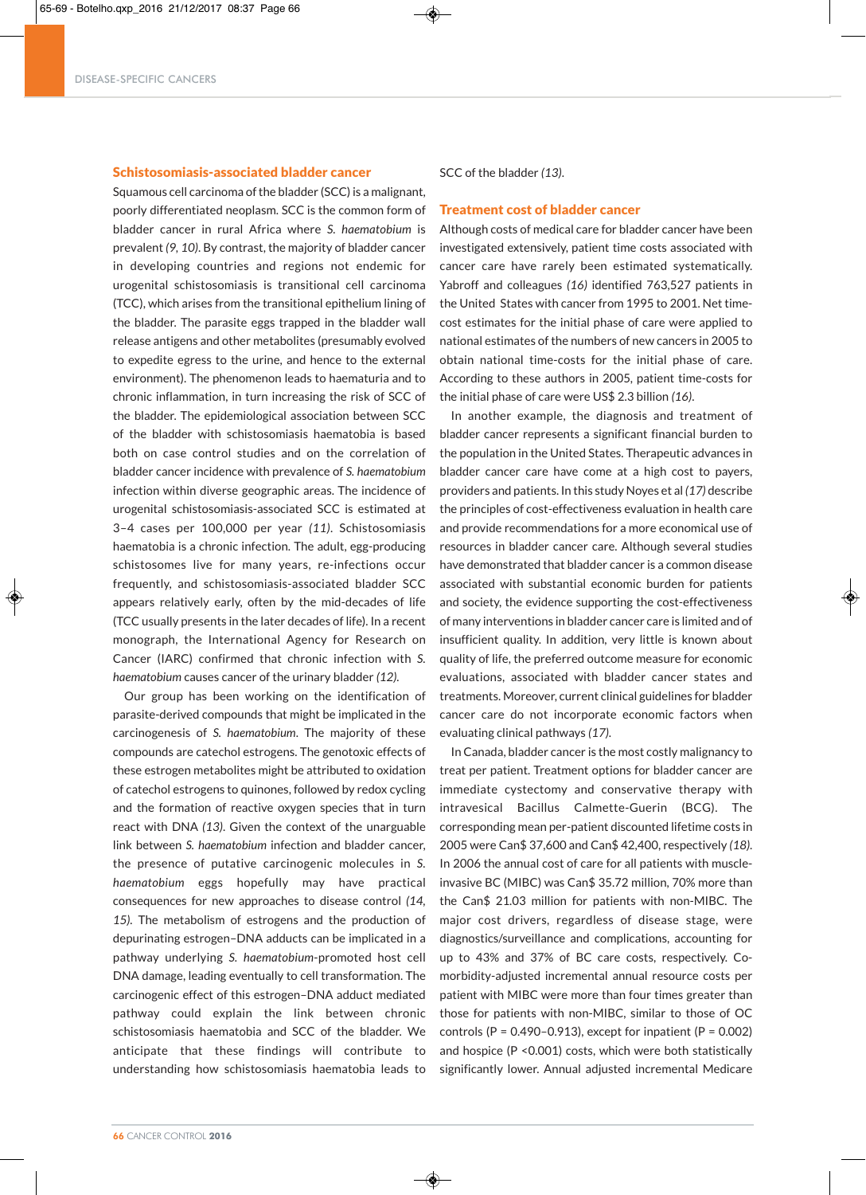## Schistosomiasis-associated bladder cancer

Squamous cell carcinoma of the bladder (SCC) is a malignant, poorly differentiated neoplasm. SCC is the common form of bladder cancer in rural Africa where *S. haematobium* is prevalent *(9, 10)*. By contrast, the majority of bladder cancer in developing countries and regions not endemic for urogenital schistosomiasis is transitional cell carcinoma (TCC), which arises from the transitional epithelium lining of the bladder. The parasite eggs trapped in the bladder wall release antigens and other metabolites (presumably evolved to expedite egress to the urine, and hence to the external environment). The phenomenon leads to haematuria and to chronic inflammation, in turn increasing the risk of SCC of the bladder. The epidemiological association between SCC of the bladder with schistosomiasis haematobia is based both on case control studies and on the correlation of bladder cancer incidence with prevalence of *S. haematobium* infection within diverse geographic areas. The incidence of urogenital schistosomiasis-associated SCC is estimated at 3–4 cases per 100,000 per year *(11)*. Schistosomiasis haematobia is a chronic infection. The adult, egg-producing schistosomes live for many years, re-infections occur frequently, and schistosomiasis-associated bladder SCC appears relatively early, often by the mid-decades of life (TCC usually presents in the later decades of life). In a recent monograph, the International Agency for Research on Cancer (IARC) confirmed that chronic infection with *S. haematobium* causes cancer of the urinary bladder *(12).*

Our group has been working on the identification of parasite-derived compounds that might be implicated in the carcinogenesis of *S. haematobium*. The majority of these compounds are catechol estrogens. The genotoxic effects of these estrogen metabolites might be attributed to oxidation of catechol estrogens to quinones, followed by redox cycling and the formation of reactive oxygen species that in turn react with DNA *(13)*. Given the context of the unarguable link between *S. haematobium* infection and bladder cancer, the presence of putative carcinogenic molecules in *S. haematobium* eggs hopefully may have practical consequences for new approaches to disease control *(14, 15).* The metabolism of estrogens and the production of depurinating estrogen–DNA adducts can be implicated in a pathway underlying *S. haematobium*-promoted host cell DNA damage, leading eventually to cell transformation. The carcinogenic effect of this estrogen–DNA adduct mediated pathway could explain the link between chronic schistosomiasis haematobia and SCC of the bladder. We anticipate that these findings will contribute to understanding how schistosomiasis haematobia leads to

SCC of the bladder *(13)*.

### Treatment cost of bladder cancer

Although costs of medical care for bladder cancer have been investigated extensively, patient time costs associated with cancer care have rarely been estimated systematically. Yabroff and colleagues *(16)* identified 763,527 patients in the United States with cancer from 1995 to 2001. Net timecost estimates for the initial phase of care were applied to national estimates of the numbers of new cancers in 2005 to obtain national time-costs for the initial phase of care. According to these authors in 2005, patient time-costs for the initial phase of care were US\$ 2.3 billion *(16)*.

In another example, the diagnosis and treatment of bladder cancer represents a significant financial burden to the population in the United States. Therapeutic advances in bladder cancer care have come at a high cost to payers, providers and patients. In this study Noyes et al *(17)* describe the principles of cost-effectiveness evaluation in health care and provide recommendations for a more economical use of resources in bladder cancer care. Although several studies have demonstrated that bladder cancer is a common disease associated with substantial economic burden for patients and society, the evidence supporting the cost-effectiveness of many interventions in bladder cancer care is limited and of insufficient quality. In addition, very little is known about quality of life, the preferred outcome measure for economic evaluations, associated with bladder cancer states and treatments. Moreover, current clinical guidelines for bladder cancer care do not incorporate economic factors when evaluating clinical pathways *(17)*.

In Canada, bladder cancer is the most costly malignancy to treat per patient. Treatment options for bladder cancer are immediate cystectomy and conservative therapy with intravesical Bacillus Calmette-Guerin (BCG). The corresponding mean per-patient discounted lifetime costs in 2005 were Can\$ 37,600 and Can\$ 42,400, respectively *(18)*. In 2006 the annual cost of care for all patients with muscleinvasive BC (MIBC) was Can\$ 35.72 million, 70% more than the Can\$ 21.03 million for patients with non-MIBC. The major cost drivers, regardless of disease stage, were diagnostics/surveillance and complications, accounting for up to 43% and 37% of BC care costs, respectively. Comorbidity-adjusted incremental annual resource costs per patient with MIBC were more than four times greater than those for patients with non-MIBC, similar to those of OC controls ( $P = 0.490 - 0.913$ ), except for inpatient ( $P = 0.002$ ) and hospice (P < 0.001) costs, which were both statistically significantly lower. Annual adjusted incremental Medicare

◈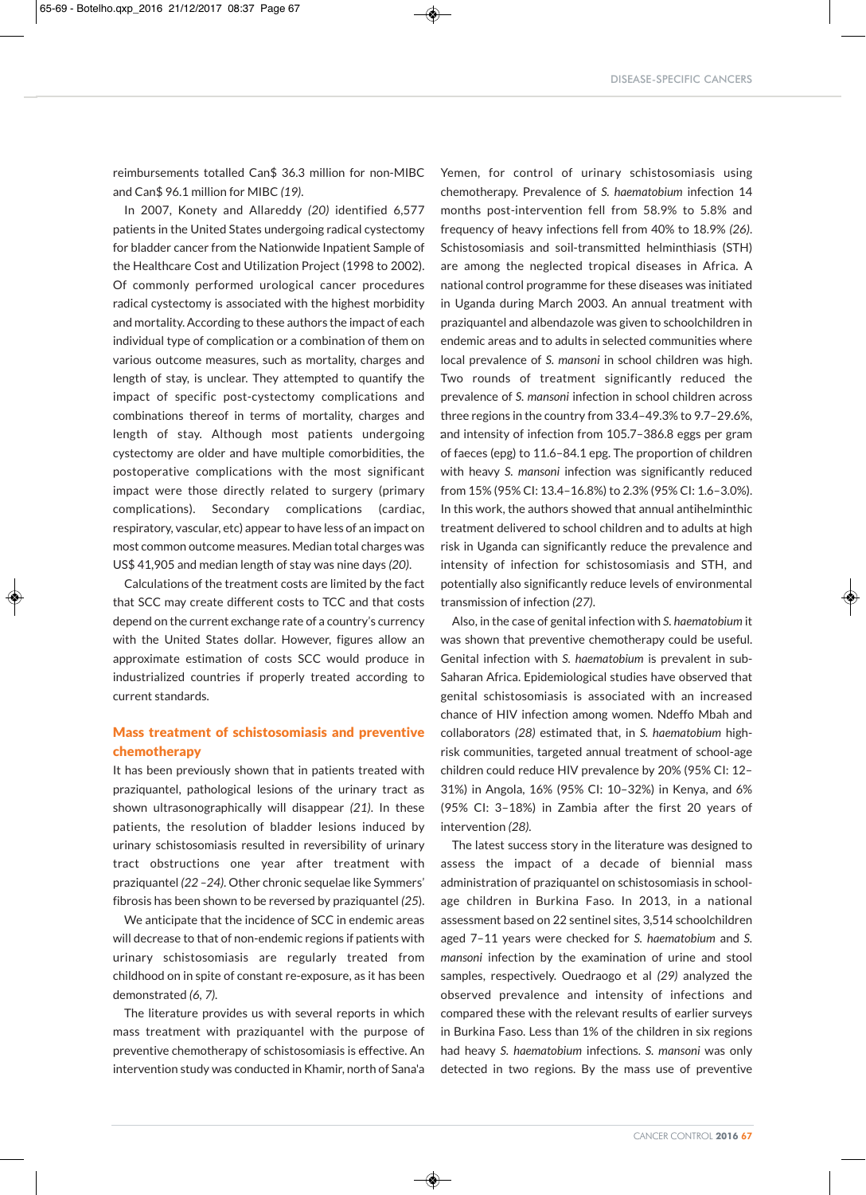reimbursements totalled Can\$ 36.3 million for non-MIBC and Can\$ 96.1 million for MIBC *(19)*.

In 2007, Konety and Allareddy *(20)* identified 6,577 patients in the United States undergoing radical cystectomy for bladder cancer from the Nationwide Inpatient Sample of the Healthcare Cost and Utilization Project (1998 to 2002). Of commonly performed urological cancer procedures radical cystectomy is associated with the highest morbidity and mortality. According to these authors the impact of each individual type of complication or a combination of them on various outcome measures, such as mortality, charges and length of stay, is unclear. They attempted to quantify the impact of specific post-cystectomy complications and combinations thereof in terms of mortality, charges and length of stay. Although most patients undergoing cystectomy are older and have multiple comorbidities, the postoperative complications with the most significant impact were those directly related to surgery (primary complications). Secondary complications (cardiac, respiratory, vascular, etc) appear to have less of an impact on most common outcome measures. Median total charges was US\$ 41,905 and median length of stay was nine days *(20)*.

Calculations of the treatment costs are limited by the fact that SCC may create different costs to TCC and that costs depend on the current exchange rate of a country's currency with the United States dollar. However, figures allow an approximate estimation of costs SCC would produce in industrialized countries if properly treated according to current standards.

## Mass treatment of schistosomiasis and preventive chemotherapy

It has been previously shown that in patients treated with praziquantel, pathological lesions of the urinary tract as shown ultrasonographically will disappear *(21)*. In these patients, the resolution of bladder lesions induced by urinary schistosomiasis resulted in reversibility of urinary tract obstructions one year after treatment with praziquantel *(22 –24)*. Other chronic sequelae like Symmers' fibrosis has been shown to be reversed by praziquantel *(25*).

We anticipate that the incidence of SCC in endemic areas will decrease to that of non-endemic regions if patients with urinary schistosomiasis are regularly treated from childhood on in spite of constant re-exposure, as it has been demonstrated *(6, 7)*.

The literature provides us with several reports in which mass treatment with praziquantel with the purpose of preventive chemotherapy of schistosomiasis is effective. An intervention study was conducted in Khamir, north of Sana'a

◈

Yemen, for control of urinary schistosomiasis using chemotherapy. Prevalence of *S. haematobium* infection 14 months post-intervention fell from 58.9% to 5.8% and frequency of heavy infections fell from 40% to 18.9% *(26)*. Schistosomiasis and soil-transmitted helminthiasis (STH) are among the neglected tropical diseases in Africa. A national control programme for these diseases was initiated in Uganda during March 2003. An annual treatment with praziquantel and albendazole was given to schoolchildren in endemic areas and to adults in selected communities where local prevalence of *S. mansoni* in school children was high. Two rounds of treatment significantly reduced the prevalence of *S. mansoni* infection in school children across three regions in the country from 33.4–49.3% to 9.7–29.6%, and intensity of infection from 105.7–386.8 eggs per gram : of faeces (epg) to 11.6–84.1 epg. The proportion of children with heavy *S. mansoni* infection was significantly reduced from 15% (95% CI: 13.4–16.8%) to 2.3% (95% CI: 1.6–3.0%). In this work, the authors showed that annual antihelminthic treatment delivered to school children and to adults at high risk in Uganda can significantly reduce the prevalence and intensity of infection for schistosomiasis and STH, and potentially also significantly reduce levels of environmental transmission of infection *(27)*.

Also, in the case of genital infection with *S. haematobium* it was shown that preventive chemotherapy could be useful. Genital infection with *S. haematobium* is prevalent in sub-Saharan Africa. Epidemiological studies have observed that genital schistosomiasis is associated with an increased chance of HIV infection among women. Ndeffo Mbah and collaborators *(28)* estimated that, in *S. haematobium* highrisk communities, targeted annual treatment of school-age children could reduce HIV prevalence by 20% (95% CI: 12– 31%) in Angola, 16% (95% CI: 10–32%) in Kenya, and 6% (95% CI: 3–18%) in Zambia after the first 20 years of intervention *(28)*.

The latest success story in the literature was designed to assess the impact of a decade of biennial mass administration of praziquantel on schistosomiasis in schoolage children in Burkina Faso. In 2013, in a national assessment based on 22 sentinel sites, 3,514 schoolchildren aged 7–11 years were checked for *S. haematobium* and *S. mansoni* infection by the examination of urine and stool samples, respectively. Ouedraogo et al *(29)* analyzed the observed prevalence and intensity of infections and compared these with the relevant results of earlier surveys in Burkina Faso. Less than 1% of the children in six regions had heavy *S. haematobium* infections. *S. mansoni* was only detected in two regions. By the mass use of preventive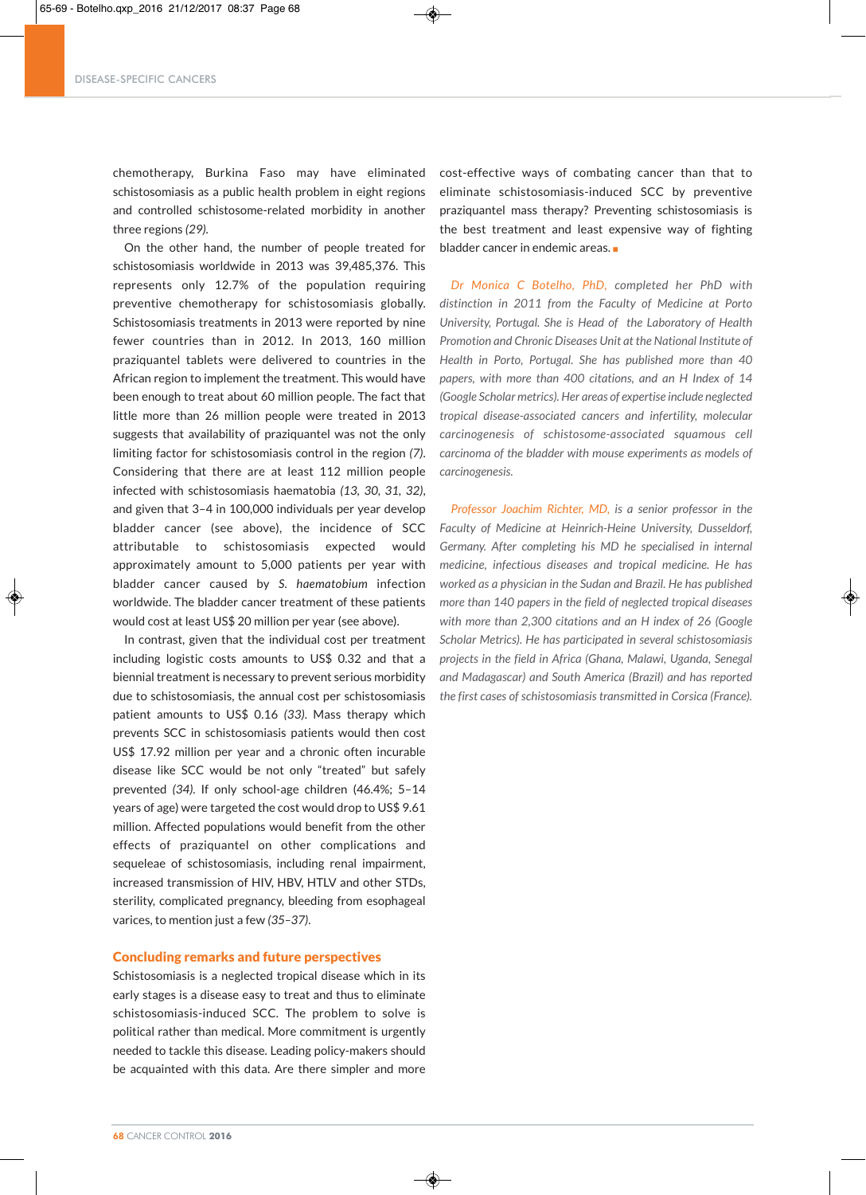## DISEASE-SPECIFIC CANCERS

chemotherapy, Burkina Faso may have eliminated schistosomiasis as a public health problem in eight regions and controlled schistosome-related morbidity in another three regions *(29)*.

On the other hand, the number of people treated for schistosomiasis worldwide in 2013 was 39,485,376. This represents only 12.7% of the population requiring preventive chemotherapy for schistosomiasis globally. Schistosomiasis treatments in 2013 were reported by nine fewer countries than in 2012. In 2013, 160 million praziquantel tablets were delivered to countries in the African region to implement the treatment. This would have been enough to treat about 60 million people. The fact that little more than 26 million people were treated in 2013 suggests that availability of praziquantel was not the only limiting factor for schistosomiasis control in the region *(7)*. Considering that there are at least 112 million people infected with schistosomiasis haematobia *(13, 30, 31, 32)*, and given that 3–4 in 100,000 individuals per year develop bladder cancer (see above), the incidence of SCC attributable to schistosomiasis expected would approximately amount to 5,000 patients per year with bladder cancer caused by *S. haematobium* infection worldwide. The bladder cancer treatment of these patients would cost at least US\$ 20 million per year (see above).

In contrast, given that the individual cost per treatment including logistic costs amounts to US\$ 0.32 and that a biennial treatment is necessary to prevent serious morbidity due to schistosomiasis, the annual cost per schistosomiasis patient amounts to US\$ 0.16 *(33)*. Mass therapy which prevents SCC in schistosomiasis patients would then cost US\$ 17.92 million per year and a chronic often incurable disease like SCC would be not only "treated" but safely prevented *(34)*. If only school-age children (46.4%; 5–14 years of age) were targeted the cost would drop to US\$ 9.61 million. Affected populations would benefit from the other effects of praziquantel on other complications and sequeleae of schistosomiasis, including renal impairment, increased transmission of HIV, HBV, HTLV and other STDs, sterility, complicated pregnancy, bleeding from esophageal varices, to mention just a few *(35–37)*.

## Concluding remarks and future perspectives

Schistosomiasis is a neglected tropical disease which in its early stages is a disease easy to treat and thus to eliminate schistosomiasis-induced SCC. The problem to solve is political rather than medical. More commitment is urgently needed to tackle this disease. Leading policy-makers should be acquainted with this data. Are there simpler and more

◈

cost-effective ways of combating cancer than that to eliminate schistosomiasis-induced SCC by preventive praziquantel mass therapy? Preventing schistosomiasis is the best treatment and least expensive way of fighting bladder cancer in endemic areas.

*Dr Monica C Botelho, PhD, completed her PhD with distinction in 2011 from the Faculty of Medicine at Porto University, Portugal. She is Head of the Laboratory of Health Promotion and Chronic Diseases Unit at the National Institute of Health in Porto, Portugal. She has published more than 40 papers, with more than 400 citations, and an H Index of 14 (Google Scholar metrics).Her areas of expertise include neglected tropical disease-associated cancers and infertility, molecular carcinogenesis of schistosome-associated squamous cell carcinoma of the bladder with mouse experiments as models of carcinogenesis.*

*Professor Joachim Richter, MD, is a senior professor in the Faculty of Medicine at Heinrich-Heine University, Dusseldorf, Germany. After completing his MD he specialised in internal medicine, infectious diseases and tropical medicine. He has worked as a physician in the Sudan and Brazil. He has published more than 140 papers in the field of neglected tropical diseases with more than 2,300 citations and an H index of 26 (Google Scholar Metrics). He has participated in several schistosomiasis projects in the field in Africa (Ghana, Malawi, Uganda, Senegal and Madagascar) and South America (Brazil) and has reported the first cases of schistosomiasis transmitted in Corsica (France).*